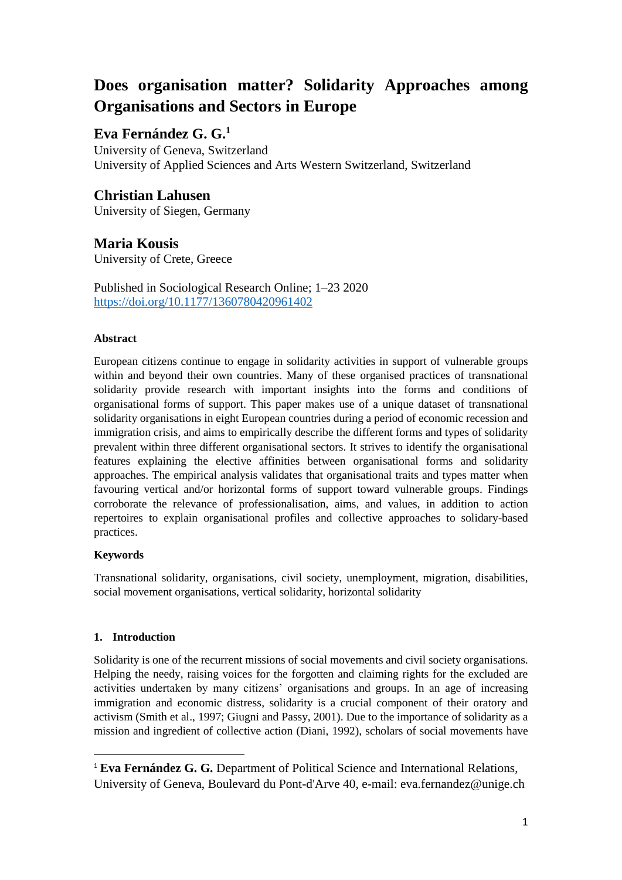# **Does organisation matter? Solidarity Approaches among Organisations and Sectors in Europe**

## **Eva Fernández G. G.<sup>1</sup>**

University of Geneva, Switzerland University of Applied Sciences and Arts Western Switzerland, Switzerland

## **Christian Lahusen**

University of Siegen, Germany

**Maria Kousis** University of Crete, Greece

Published in Sociological Research Online; 1–23 2020 <https://doi.org/10.1177/1360780420961402>

## **Abstract**

European citizens continue to engage in solidarity activities in support of vulnerable groups within and beyond their own countries. Many of these organised practices of transnational solidarity provide research with important insights into the forms and conditions of organisational forms of support. This paper makes use of a unique dataset of transnational solidarity organisations in eight European countries during a period of economic recession and immigration crisis, and aims to empirically describe the different forms and types of solidarity prevalent within three different organisational sectors. It strives to identify the organisational features explaining the elective affinities between organisational forms and solidarity approaches. The empirical analysis validates that organisational traits and types matter when favouring vertical and/or horizontal forms of support toward vulnerable groups. Findings corroborate the relevance of professionalisation, aims, and values, in addition to action repertoires to explain organisational profiles and collective approaches to solidary-based practices.

## **Keywords**

Transnational solidarity, organisations, civil society, unemployment, migration, disabilities, social movement organisations, vertical solidarity, horizontal solidarity

## **1. Introduction**

 $\overline{a}$ 

Solidarity is one of the recurrent missions of social movements and civil society organisations. Helping the needy, raising voices for the forgotten and claiming rights for the excluded are activities undertaken by many citizens' organisations and groups. In an age of increasing immigration and economic distress, solidarity is a crucial component of their oratory and activism (Smith et al., 1997; Giugni and Passy, 2001). Due to the importance of solidarity as a mission and ingredient of collective action (Diani, 1992), scholars of social movements have

<sup>&</sup>lt;sup>1</sup> Eva Fernández G. G. Department of Political Science and International Relations, University of Geneva, Boulevard du Pont-d'Arve 40, e-mail: eva.fernandez@unige.ch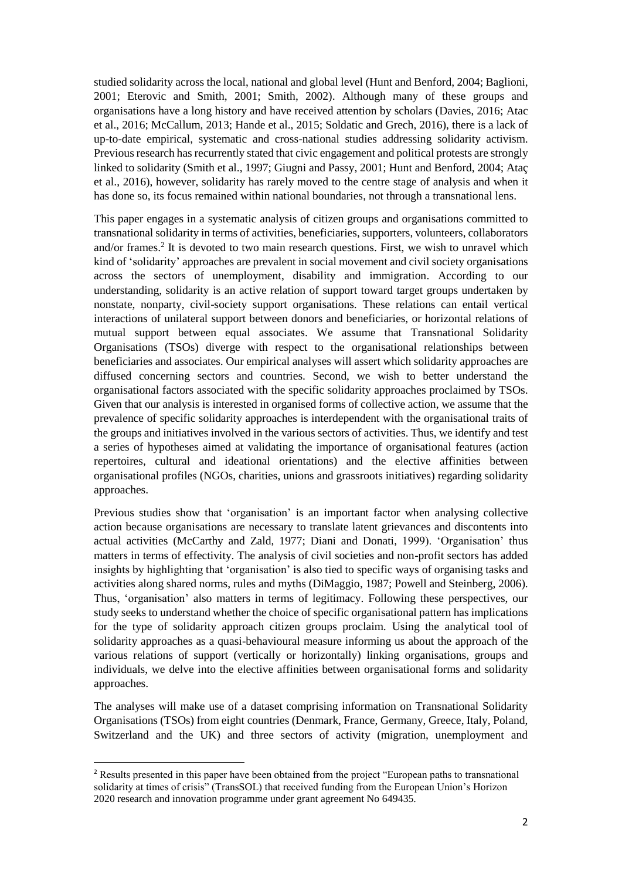studied solidarity across the local, national and global level (Hunt and Benford, 2004; Baglioni, 2001; Eterovic and Smith, 2001; Smith, 2002). Although many of these groups and organisations have a long history and have received attention by scholars (Davies, 2016; Atac et al., 2016; McCallum, 2013; Hande et al., 2015; Soldatic and Grech, 2016), there is a lack of up-to-date empirical, systematic and cross-national studies addressing solidarity activism. Previous research has recurrently stated that civic engagement and political protests are strongly linked to solidarity (Smith et al., 1997; Giugni and Passy, 2001; Hunt and Benford, 2004; Ataç et al., 2016), however, solidarity has rarely moved to the centre stage of analysis and when it has done so, its focus remained within national boundaries, not through a transnational lens.

This paper engages in a systematic analysis of citizen groups and organisations committed to transnational solidarity in terms of activities, beneficiaries, supporters, volunteers, collaborators and/or frames. 2 It is devoted to two main research questions. First, we wish to unravel which kind of 'solidarity' approaches are prevalent in social movement and civil society organisations across the sectors of unemployment, disability and immigration. According to our understanding, solidarity is an active relation of support toward target groups undertaken by nonstate, nonparty, civil-society support organisations. These relations can entail vertical interactions of unilateral support between donors and beneficiaries, or horizontal relations of mutual support between equal associates. We assume that Transnational Solidarity Organisations (TSOs) diverge with respect to the organisational relationships between beneficiaries and associates. Our empirical analyses will assert which solidarity approaches are diffused concerning sectors and countries. Second, we wish to better understand the organisational factors associated with the specific solidarity approaches proclaimed by TSOs. Given that our analysis is interested in organised forms of collective action, we assume that the prevalence of specific solidarity approaches is interdependent with the organisational traits of the groups and initiatives involved in the various sectors of activities. Thus, we identify and test a series of hypotheses aimed at validating the importance of organisational features (action repertoires, cultural and ideational orientations) and the elective affinities between organisational profiles (NGOs, charities, unions and grassroots initiatives) regarding solidarity approaches.

Previous studies show that 'organisation' is an important factor when analysing collective action because organisations are necessary to translate latent grievances and discontents into actual activities (McCarthy and Zald, 1977; Diani and Donati, 1999). 'Organisation' thus matters in terms of effectivity. The analysis of civil societies and non-profit sectors has added insights by highlighting that 'organisation' is also tied to specific ways of organising tasks and activities along shared norms, rules and myths (DiMaggio, 1987; Powell and Steinberg, 2006). Thus, 'organisation' also matters in terms of legitimacy. Following these perspectives, our study seeks to understand whether the choice of specific organisational pattern has implications for the type of solidarity approach citizen groups proclaim. Using the analytical tool of solidarity approaches as a quasi-behavioural measure informing us about the approach of the various relations of support (vertically or horizontally) linking organisations, groups and individuals, we delve into the elective affinities between organisational forms and solidarity approaches.

The analyses will make use of a dataset comprising information on Transnational Solidarity Organisations (TSOs) from eight countries (Denmark, France, Germany, Greece, Italy, Poland, Switzerland and the UK) and three sectors of activity (migration, unemployment and

 $\overline{a}$ 

<sup>&</sup>lt;sup>2</sup> Results presented in this paper have been obtained from the project "European paths to transnational solidarity at times of crisis" (TransSOL) that received funding from the European Union's Horizon 2020 research and innovation programme under grant agreement No 649435.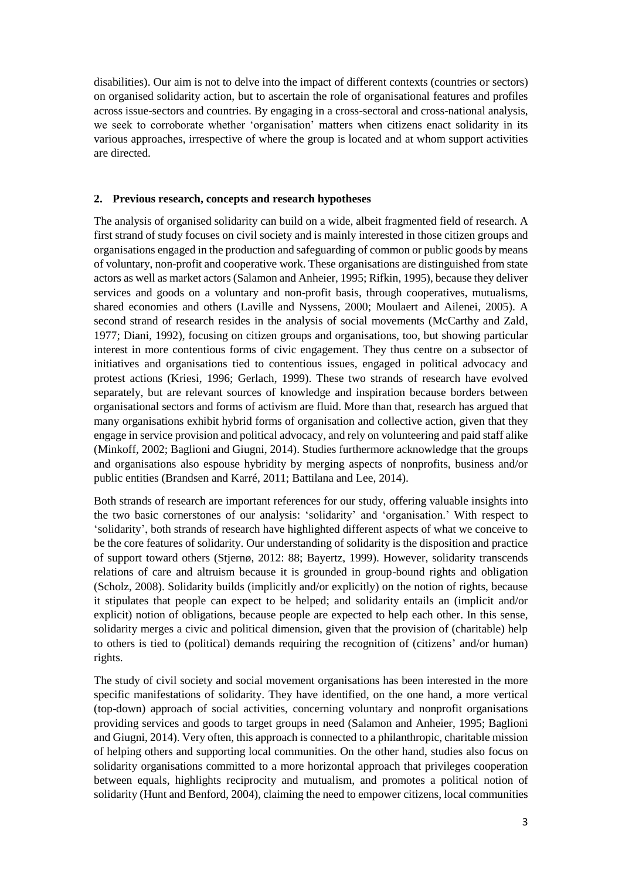disabilities). Our aim is not to delve into the impact of different contexts (countries or sectors) on organised solidarity action, but to ascertain the role of organisational features and profiles across issue-sectors and countries. By engaging in a cross-sectoral and cross-national analysis, we seek to corroborate whether 'organisation' matters when citizens enact solidarity in its various approaches, irrespective of where the group is located and at whom support activities are directed.

#### **2. Previous research, concepts and research hypotheses**

The analysis of organised solidarity can build on a wide, albeit fragmented field of research. A first strand of study focuses on civil society and is mainly interested in those citizen groups and organisations engaged in the production and safeguarding of common or public goods by means of voluntary, non-profit and cooperative work. These organisations are distinguished from state actors as well as market actors (Salamon and Anheier, 1995; Rifkin, 1995), because they deliver services and goods on a voluntary and non-profit basis, through cooperatives, mutualisms, shared economies and others (Laville and Nyssens, 2000; Moulaert and Ailenei, 2005). A second strand of research resides in the analysis of social movements (McCarthy and Zald, 1977; Diani, 1992), focusing on citizen groups and organisations, too, but showing particular interest in more contentious forms of civic engagement. They thus centre on a subsector of initiatives and organisations tied to contentious issues, engaged in political advocacy and protest actions (Kriesi, 1996; Gerlach, 1999). These two strands of research have evolved separately, but are relevant sources of knowledge and inspiration because borders between organisational sectors and forms of activism are fluid. More than that, research has argued that many organisations exhibit hybrid forms of organisation and collective action, given that they engage in service provision and political advocacy, and rely on volunteering and paid staff alike (Minkoff, 2002; Baglioni and Giugni, 2014). Studies furthermore acknowledge that the groups and organisations also espouse hybridity by merging aspects of nonprofits, business and/or public entities (Brandsen and Karré, 2011; Battilana and Lee, 2014).

Both strands of research are important references for our study, offering valuable insights into the two basic cornerstones of our analysis: 'solidarity' and 'organisation.' With respect to 'solidarity', both strands of research have highlighted different aspects of what we conceive to be the core features of solidarity. Our understanding of solidarity is the disposition and practice of support toward others (Stjernø, 2012: 88; Bayertz, 1999). However, solidarity transcends relations of care and altruism because it is grounded in group-bound rights and obligation (Scholz, 2008). Solidarity builds (implicitly and/or explicitly) on the notion of rights, because it stipulates that people can expect to be helped; and solidarity entails an (implicit and/or explicit) notion of obligations, because people are expected to help each other. In this sense, solidarity merges a civic and political dimension, given that the provision of (charitable) help to others is tied to (political) demands requiring the recognition of (citizens' and/or human) rights.

The study of civil society and social movement organisations has been interested in the more specific manifestations of solidarity. They have identified, on the one hand, a more vertical (top-down) approach of social activities, concerning voluntary and nonprofit organisations providing services and goods to target groups in need (Salamon and Anheier, 1995; Baglioni and Giugni, 2014). Very often, this approach is connected to a philanthropic, charitable mission of helping others and supporting local communities. On the other hand, studies also focus on solidarity organisations committed to a more horizontal approach that privileges cooperation between equals, highlights reciprocity and mutualism, and promotes a political notion of solidarity (Hunt and Benford, 2004), claiming the need to empower citizens, local communities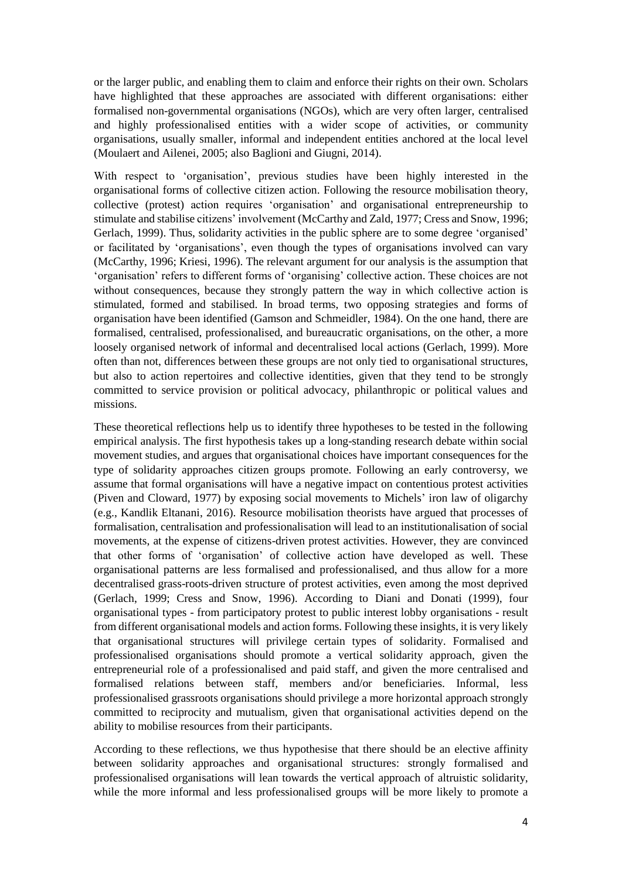or the larger public, and enabling them to claim and enforce their rights on their own. Scholars have highlighted that these approaches are associated with different organisations: either formalised non-governmental organisations (NGOs), which are very often larger, centralised and highly professionalised entities with a wider scope of activities, or community organisations, usually smaller, informal and independent entities anchored at the local level (Moulaert and Ailenei, 2005; also Baglioni and Giugni, 2014).

With respect to 'organisation', previous studies have been highly interested in the organisational forms of collective citizen action. Following the resource mobilisation theory, collective (protest) action requires 'organisation' and organisational entrepreneurship to stimulate and stabilise citizens' involvement (McCarthy and Zald, 1977; Cress and Snow, 1996; Gerlach, 1999). Thus, solidarity activities in the public sphere are to some degree 'organised' or facilitated by 'organisations', even though the types of organisations involved can vary (McCarthy, 1996; Kriesi, 1996). The relevant argument for our analysis is the assumption that 'organisation' refers to different forms of 'organising' collective action. These choices are not without consequences, because they strongly pattern the way in which collective action is stimulated, formed and stabilised. In broad terms, two opposing strategies and forms of organisation have been identified (Gamson and Schmeidler, 1984). On the one hand, there are formalised, centralised, professionalised, and bureaucratic organisations, on the other, a more loosely organised network of informal and decentralised local actions (Gerlach, 1999). More often than not, differences between these groups are not only tied to organisational structures, but also to action repertoires and collective identities, given that they tend to be strongly committed to service provision or political advocacy, philanthropic or political values and missions.

These theoretical reflections help us to identify three hypotheses to be tested in the following empirical analysis. The first hypothesis takes up a long-standing research debate within social movement studies, and argues that organisational choices have important consequences for the type of solidarity approaches citizen groups promote. Following an early controversy, we assume that formal organisations will have a negative impact on contentious protest activities (Piven and Cloward, 1977) by exposing social movements to Michels' iron law of oligarchy (e.g., Kandlik Eltanani, 2016). Resource mobilisation theorists have argued that processes of formalisation, centralisation and professionalisation will lead to an institutionalisation of social movements, at the expense of citizens-driven protest activities. However, they are convinced that other forms of 'organisation' of collective action have developed as well. These organisational patterns are less formalised and professionalised, and thus allow for a more decentralised grass-roots-driven structure of protest activities, even among the most deprived (Gerlach, 1999; Cress and Snow, 1996). According to Diani and Donati (1999), four organisational types - from participatory protest to public interest lobby organisations - result from different organisational models and action forms. Following these insights, it is very likely that organisational structures will privilege certain types of solidarity. Formalised and professionalised organisations should promote a vertical solidarity approach, given the entrepreneurial role of a professionalised and paid staff, and given the more centralised and formalised relations between staff, members and/or beneficiaries. Informal, less professionalised grassroots organisations should privilege a more horizontal approach strongly committed to reciprocity and mutualism, given that organisational activities depend on the ability to mobilise resources from their participants.

According to these reflections, we thus hypothesise that there should be an elective affinity between solidarity approaches and organisational structures: strongly formalised and professionalised organisations will lean towards the vertical approach of altruistic solidarity, while the more informal and less professionalised groups will be more likely to promote a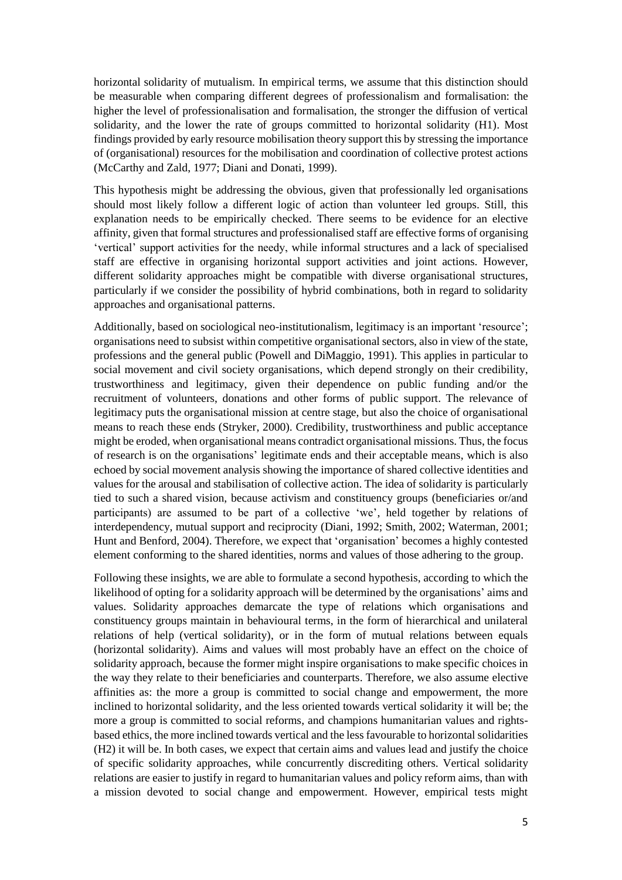horizontal solidarity of mutualism. In empirical terms, we assume that this distinction should be measurable when comparing different degrees of professionalism and formalisation: the higher the level of professionalisation and formalisation, the stronger the diffusion of vertical solidarity, and the lower the rate of groups committed to horizontal solidarity (H1). Most findings provided by early resource mobilisation theory support this by stressing the importance of (organisational) resources for the mobilisation and coordination of collective protest actions (McCarthy and Zald, 1977; Diani and Donati, 1999).

This hypothesis might be addressing the obvious, given that professionally led organisations should most likely follow a different logic of action than volunteer led groups. Still, this explanation needs to be empirically checked. There seems to be evidence for an elective affinity, given that formal structures and professionalised staff are effective forms of organising 'vertical' support activities for the needy, while informal structures and a lack of specialised staff are effective in organising horizontal support activities and joint actions. However, different solidarity approaches might be compatible with diverse organisational structures, particularly if we consider the possibility of hybrid combinations, both in regard to solidarity approaches and organisational patterns.

Additionally, based on sociological neo-institutionalism, legitimacy is an important 'resource'; organisations need to subsist within competitive organisational sectors, also in view of the state, professions and the general public (Powell and DiMaggio, 1991). This applies in particular to social movement and civil society organisations, which depend strongly on their credibility, trustworthiness and legitimacy, given their dependence on public funding and/or the recruitment of volunteers, donations and other forms of public support. The relevance of legitimacy puts the organisational mission at centre stage, but also the choice of organisational means to reach these ends (Stryker, 2000). Credibility, trustworthiness and public acceptance might be eroded, when organisational means contradict organisational missions. Thus, the focus of research is on the organisations' legitimate ends and their acceptable means, which is also echoed by social movement analysis showing the importance of shared collective identities and values for the arousal and stabilisation of collective action. The idea of solidarity is particularly tied to such a shared vision, because activism and constituency groups (beneficiaries or/and participants) are assumed to be part of a collective 'we', held together by relations of interdependency, mutual support and reciprocity (Diani, 1992; Smith, 2002; Waterman, 2001; Hunt and Benford, 2004). Therefore, we expect that 'organisation' becomes a highly contested element conforming to the shared identities, norms and values of those adhering to the group.

Following these insights, we are able to formulate a second hypothesis, according to which the likelihood of opting for a solidarity approach will be determined by the organisations' aims and values. Solidarity approaches demarcate the type of relations which organisations and constituency groups maintain in behavioural terms, in the form of hierarchical and unilateral relations of help (vertical solidarity), or in the form of mutual relations between equals (horizontal solidarity). Aims and values will most probably have an effect on the choice of solidarity approach, because the former might inspire organisations to make specific choices in the way they relate to their beneficiaries and counterparts. Therefore, we also assume elective affinities as: the more a group is committed to social change and empowerment, the more inclined to horizontal solidarity, and the less oriented towards vertical solidarity it will be; the more a group is committed to social reforms, and champions humanitarian values and rightsbased ethics, the more inclined towards vertical and the less favourable to horizontal solidarities (H2) it will be. In both cases, we expect that certain aims and values lead and justify the choice of specific solidarity approaches, while concurrently discrediting others. Vertical solidarity relations are easier to justify in regard to humanitarian values and policy reform aims, than with a mission devoted to social change and empowerment. However, empirical tests might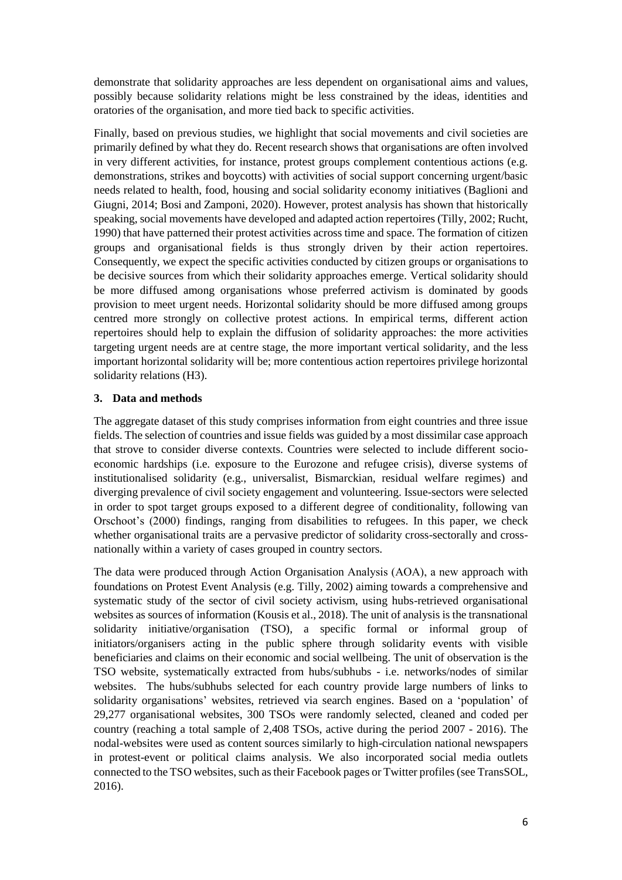demonstrate that solidarity approaches are less dependent on organisational aims and values, possibly because solidarity relations might be less constrained by the ideas, identities and oratories of the organisation, and more tied back to specific activities.

Finally, based on previous studies, we highlight that social movements and civil societies are primarily defined by what they do. Recent research shows that organisations are often involved in very different activities, for instance, protest groups complement contentious actions (e.g. demonstrations, strikes and boycotts) with activities of social support concerning urgent/basic needs related to health, food, housing and social solidarity economy initiatives (Baglioni and Giugni, 2014; Bosi and Zamponi, 2020). However, protest analysis has shown that historically speaking, social movements have developed and adapted action repertoires (Tilly, 2002; Rucht, 1990) that have patterned their protest activities across time and space. The formation of citizen groups and organisational fields is thus strongly driven by their action repertoires. Consequently, we expect the specific activities conducted by citizen groups or organisations to be decisive sources from which their solidarity approaches emerge. Vertical solidarity should be more diffused among organisations whose preferred activism is dominated by goods provision to meet urgent needs. Horizontal solidarity should be more diffused among groups centred more strongly on collective protest actions. In empirical terms, different action repertoires should help to explain the diffusion of solidarity approaches: the more activities targeting urgent needs are at centre stage, the more important vertical solidarity, and the less important horizontal solidarity will be; more contentious action repertoires privilege horizontal solidarity relations (H3).

## **3. Data and methods**

The aggregate dataset of this study comprises information from eight countries and three issue fields. The selection of countries and issue fields was guided by a most dissimilar case approach that strove to consider diverse contexts. Countries were selected to include different socioeconomic hardships (i.e. exposure to the Eurozone and refugee crisis), diverse systems of institutionalised solidarity (e.g., universalist, Bismarckian, residual welfare regimes) and diverging prevalence of civil society engagement and volunteering. Issue-sectors were selected in order to spot target groups exposed to a different degree of conditionality, following van Orschoot's (2000) findings, ranging from disabilities to refugees. In this paper, we check whether organisational traits are a pervasive predictor of solidarity cross-sectorally and crossnationally within a variety of cases grouped in country sectors.

The data were produced through Action Organisation Analysis (ΑΟΑ), a new approach with foundations on Protest Event Analysis (e.g. Tilly, 2002) aiming towards a comprehensive and systematic study of the sector of civil society activism, using hubs-retrieved organisational websites as sources of information (Kousis et al., 2018). The unit of analysis is the transnational solidarity initiative/organisation (TSO), a specific formal or informal group of initiators/organisers acting in the public sphere through solidarity events with visible beneficiaries and claims on their economic and social wellbeing. The unit of observation is the TSO website, systematically extracted from hubs/subhubs - i.e. networks/nodes of similar websites. The hubs/subhubs selected for each country provide large numbers of links to solidarity organisations' websites, retrieved via search engines. Based on a 'population' of 29,277 organisational websites, 300 TSOs were randomly selected, cleaned and coded per country (reaching a total sample of 2,408 TSOs, active during the period 2007 - 2016). The nodal-websites were used as content sources similarly to high-circulation national newspapers in protest-event or political claims analysis. We also incorporated social media outlets connected to the TSO websites, such as their Facebook pages or Twitter profiles(see TransSOL, 2016).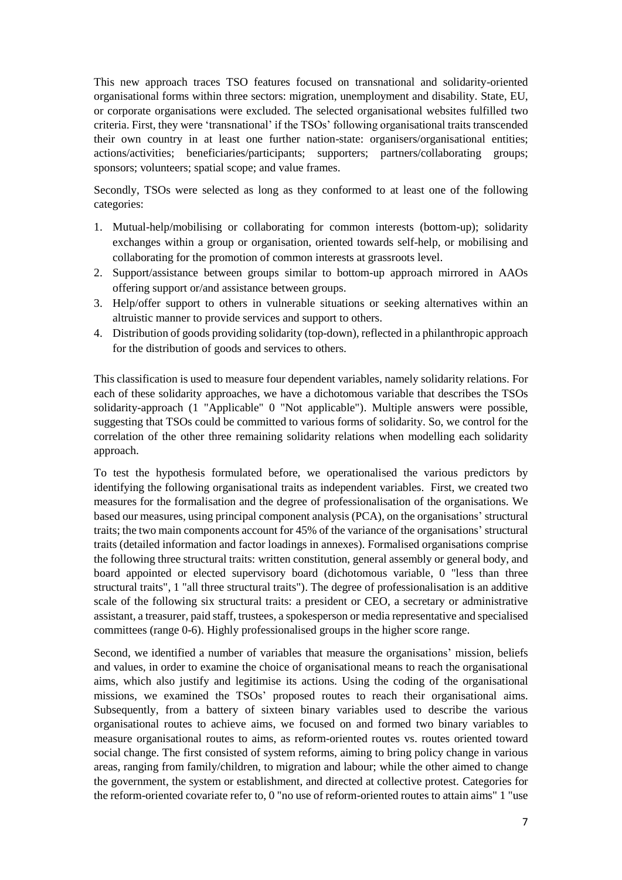This new approach traces TSO features focused on transnational and solidarity-oriented organisational forms within three sectors: migration, unemployment and disability. State, EU, or corporate organisations were excluded. The selected organisational websites fulfilled two criteria. First, they were 'transnational' if the TSOs' following organisational traits transcended their own country in at least one further nation-state: organisers/organisational entities; actions/activities; beneficiaries/participants; supporters; partners/collaborating groups; sponsors; volunteers; spatial scope; and value frames.

Secondly, TSOs were selected as long as they conformed to at least one of the following categories:

- 1. Mutual-help/mobilising or collaborating for common interests (bottom-up); solidarity exchanges within a group or organisation, oriented towards self-help, or mobilising and collaborating for the promotion of common interests at grassroots level.
- 2. Support/assistance between groups similar to bottom-up approach mirrored in AAOs offering support or/and assistance between groups.
- 3. Help/offer support to others in vulnerable situations or seeking alternatives within an altruistic manner to provide services and support to others.
- 4. Distribution of goods providing solidarity (top-down), reflected in a philanthropic approach for the distribution of goods and services to others.

This classification is used to measure four dependent variables, namely solidarity relations. For each of these solidarity approaches, we have a dichotomous variable that describes the TSOs solidarity-approach (1 "Applicable" 0 "Not applicable"). Multiple answers were possible, suggesting that TSOs could be committed to various forms of solidarity. So, we control for the correlation of the other three remaining solidarity relations when modelling each solidarity approach.

To test the hypothesis formulated before, we operationalised the various predictors by identifying the following organisational traits as independent variables. First, we created two measures for the formalisation and the degree of professionalisation of the organisations. We based our measures, using principal component analysis (PCA), on the organisations' structural traits; the two main components account for 45% of the variance of the organisations' structural traits (detailed information and factor loadings in annexes). Formalised organisations comprise the following three structural traits: written constitution, general assembly or general body, and board appointed or elected supervisory board (dichotomous variable, 0 "less than three structural traits", 1 "all three structural traits"). The degree of professionalisation is an additive scale of the following six structural traits: a president or CEO, a secretary or administrative assistant, a treasurer, paid staff, trustees, a spokesperson or media representative and specialised committees (range 0-6). Highly professionalised groups in the higher score range.

Second, we identified a number of variables that measure the organisations' mission, beliefs and values, in order to examine the choice of organisational means to reach the organisational aims, which also justify and legitimise its actions. Using the coding of the organisational missions, we examined the TSOs' proposed routes to reach their organisational aims. Subsequently, from a battery of sixteen binary variables used to describe the various organisational routes to achieve aims, we focused on and formed two binary variables to measure organisational routes to aims, as reform-oriented routes vs. routes oriented toward social change. The first consisted of system reforms, aiming to bring policy change in various areas, ranging from family/children, to migration and labour; while the other aimed to change the government, the system or establishment, and directed at collective protest. Categories for the reform-oriented covariate refer to, 0 "no use of reform-oriented routes to attain aims" 1 "use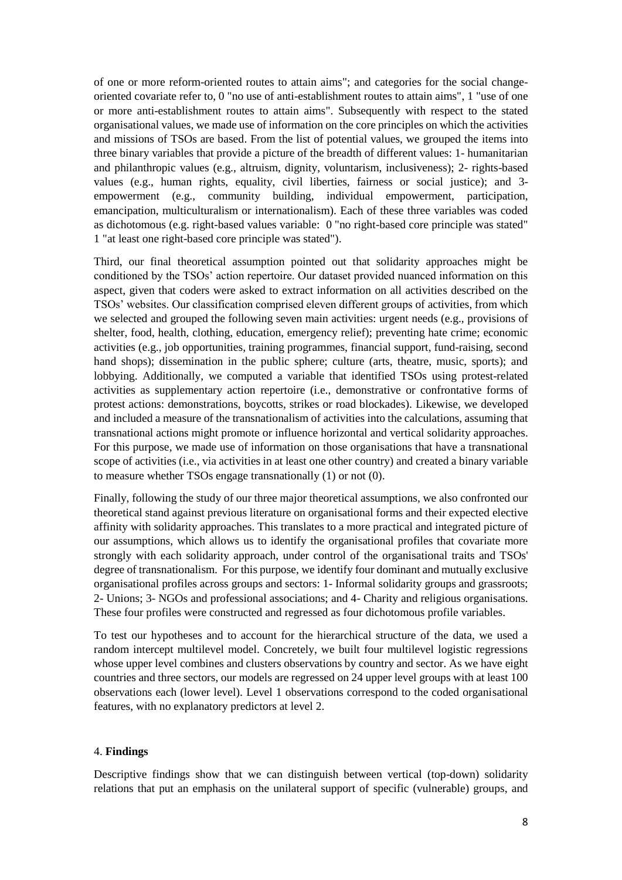of one or more reform-oriented routes to attain aims"; and categories for the social changeoriented covariate refer to, 0 "no use of anti-establishment routes to attain aims", 1 "use of one or more anti-establishment routes to attain aims". Subsequently with respect to the stated organisational values, we made use of information on the core principles on which the activities and missions of TSOs are based. From the list of potential values, we grouped the items into three binary variables that provide a picture of the breadth of different values: 1- humanitarian and philanthropic values (e.g., altruism, dignity, voluntarism, inclusiveness); 2- rights-based values (e.g., human rights, equality, civil liberties, fairness or social justice); and 3 empowerment (e.g., community building, individual empowerment, participation, emancipation, multiculturalism or internationalism). Each of these three variables was coded as dichotomous (e.g. right-based values variable: 0 "no right-based core principle was stated" 1 "at least one right-based core principle was stated").

Third, our final theoretical assumption pointed out that solidarity approaches might be conditioned by the TSOs' action repertoire. Our dataset provided nuanced information on this aspect, given that coders were asked to extract information on all activities described on the TSOs' websites. Our classification comprised eleven different groups of activities, from which we selected and grouped the following seven main activities: urgent needs (e.g., provisions of shelter, food, health, clothing, education, emergency relief); preventing hate crime; economic activities (e.g., job opportunities, training programmes, financial support, fund-raising, second hand shops); dissemination in the public sphere; culture (arts, theatre, music, sports); and lobbying. Additionally, we computed a variable that identified TSOs using protest-related activities as supplementary action repertoire (i.e., demonstrative or confrontative forms of protest actions: demonstrations, boycotts, strikes or road blockades). Likewise, we developed and included a measure of the transnationalism of activities into the calculations, assuming that transnational actions might promote or influence horizontal and vertical solidarity approaches. For this purpose, we made use of information on those organisations that have a transnational scope of activities (i.e., via activities in at least one other country) and created a binary variable to measure whether TSOs engage transnationally (1) or not (0).

Finally, following the study of our three major theoretical assumptions, we also confronted our theoretical stand against previous literature on organisational forms and their expected elective affinity with solidarity approaches. This translates to a more practical and integrated picture of our assumptions, which allows us to identify the organisational profiles that covariate more strongly with each solidarity approach, under control of the organisational traits and TSOs' degree of transnationalism. For this purpose, we identify four dominant and mutually exclusive organisational profiles across groups and sectors: 1- Informal solidarity groups and grassroots; 2- Unions; 3- NGOs and professional associations; and 4- Charity and religious organisations. These four profiles were constructed and regressed as four dichotomous profile variables.

To test our hypotheses and to account for the hierarchical structure of the data, we used a random intercept multilevel model. Concretely, we built four multilevel logistic regressions whose upper level combines and clusters observations by country and sector. As we have eight countries and three sectors, our models are regressed on 24 upper level groups with at least 100 observations each (lower level). Level 1 observations correspond to the coded organisational features, with no explanatory predictors at level 2.

#### 4. **Findings**

Descriptive findings show that we can distinguish between vertical (top-down) solidarity relations that put an emphasis on the unilateral support of specific (vulnerable) groups, and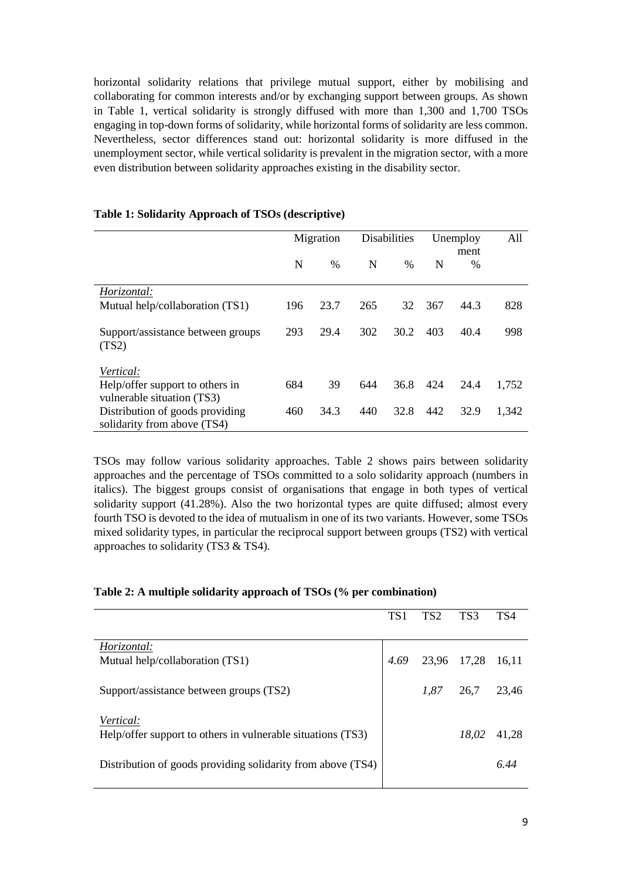horizontal solidarity relations that privilege mutual support, either by mobilising and collaborating for common interests and/or by exchanging support between groups. As shown in Table 1, vertical solidarity is strongly diffused with more than 1,300 and 1,700 TSOs engaging in top-down forms of solidarity, while horizontal forms of solidarity are less common. Nevertheless, sector differences stand out: horizontal solidarity is more diffused in the unemployment sector, while vertical solidarity is prevalent in the migration sector, with a more even distribution between solidarity approaches existing in the disability sector.

|                                                               | Migration |      | Disabilities |               | Unemploy |      | All   |
|---------------------------------------------------------------|-----------|------|--------------|---------------|----------|------|-------|
|                                                               |           |      |              |               | ment     |      |       |
|                                                               | N         | $\%$ | N            | $\frac{0}{0}$ | N        | $\%$ |       |
| Horizontal:                                                   |           |      |              |               |          |      |       |
| Mutual help/collaboration (TS1)                               | 196       | 23.7 | 265          | 32            | 367      | 44.3 | 828   |
| Support/assistance between groups<br>(TS2)                    | 293       | 29.4 | 302          | 30.2          | 403      | 40.4 | 998   |
| <i>Vertical:</i>                                              |           |      |              |               |          |      |       |
| Help/offer support to others in                               | 684       | 39   | 644          | 36.8          | 424      | 24.4 | 1.752 |
| vulnerable situation (TS3)<br>Distribution of goods providing | 460       | 34.3 | 440          | 32.8          | 442      | 32.9 | 1.342 |
| solidarity from above (TS4)                                   |           |      |              |               |          |      |       |

#### **Table 1: Solidarity Approach of TSOs (descriptive)**

TSOs may follow various solidarity approaches. Table 2 shows pairs between solidarity approaches and the percentage of TSOs committed to a solo solidarity approach (numbers in italics). The biggest groups consist of organisations that engage in both types of vertical solidarity support (41.28%). Also the two horizontal types are quite diffused; almost every fourth TSO is devoted to the idea of mutualism in one of its two variants. However, some TSOs mixed solidarity types, in particular the reciprocal support between groups (TS2) with vertical approaches to solidarity (TS3 & TS4).

| Table 2: A multiple solidarity approach of TSOs (% per combination) |  |  |
|---------------------------------------------------------------------|--|--|
|---------------------------------------------------------------------|--|--|

|                                                             | TS 1 | TS <sub>2</sub> | TS3   | TS4   |
|-------------------------------------------------------------|------|-----------------|-------|-------|
| Horizontal:                                                 |      |                 |       |       |
| Mutual help/collaboration (TS1)                             | 4.69 | 23,96 17,28     |       | 16,11 |
| Support/assistance between groups (TS2)                     |      | 1,87            | 26,7  | 23,46 |
| <i>Vertical:</i>                                            |      |                 |       |       |
| Help/offer support to others in vulnerable situations (TS3) |      |                 | 18,02 | 41.28 |
| Distribution of goods providing solidarity from above (TS4) |      |                 |       | 6 44  |
|                                                             |      |                 |       |       |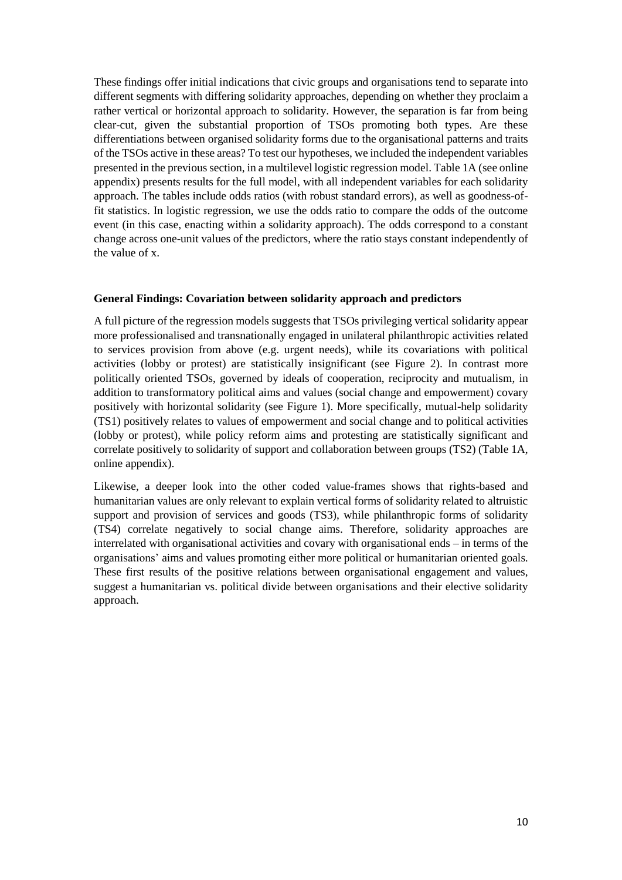These findings offer initial indications that civic groups and organisations tend to separate into different segments with differing solidarity approaches, depending on whether they proclaim a rather vertical or horizontal approach to solidarity. However, the separation is far from being clear-cut, given the substantial proportion of TSOs promoting both types. Are these differentiations between organised solidarity forms due to the organisational patterns and traits of the TSOs active in these areas? To test our hypotheses, we included the independent variables presented in the previous section, in a multilevel logistic regression model. Table 1A (see online appendix) presents results for the full model, with all independent variables for each solidarity approach. The tables include odds ratios (with robust standard errors), as well as goodness-offit statistics. In logistic regression, we use the odds ratio to compare the odds of the outcome event (in this case, enacting within a solidarity approach). The odds correspond to a constant change across one-unit values of the predictors, where the ratio stays constant independently of the value of x.

## **General Findings: Covariation between solidarity approach and predictors**

A full picture of the regression models suggests that TSOs privileging vertical solidarity appear more professionalised and transnationally engaged in unilateral philanthropic activities related to services provision from above (e.g. urgent needs), while its covariations with political activities (lobby or protest) are statistically insignificant (see Figure 2). In contrast more politically oriented TSOs, governed by ideals of cooperation, reciprocity and mutualism, in addition to transformatory political aims and values (social change and empowerment) covary positively with horizontal solidarity (see Figure 1). More specifically, mutual-help solidarity (TS1) positively relates to values of empowerment and social change and to political activities (lobby or protest), while policy reform aims and protesting are statistically significant and correlate positively to solidarity of support and collaboration between groups (TS2) (Table 1A, online appendix).

Likewise, a deeper look into the other coded value-frames shows that rights-based and humanitarian values are only relevant to explain vertical forms of solidarity related to altruistic support and provision of services and goods (TS3), while philanthropic forms of solidarity (TS4) correlate negatively to social change aims. Therefore, solidarity approaches are interrelated with organisational activities and covary with organisational ends – in terms of the organisations' aims and values promoting either more political or humanitarian oriented goals. These first results of the positive relations between organisational engagement and values, suggest a humanitarian vs. political divide between organisations and their elective solidarity approach.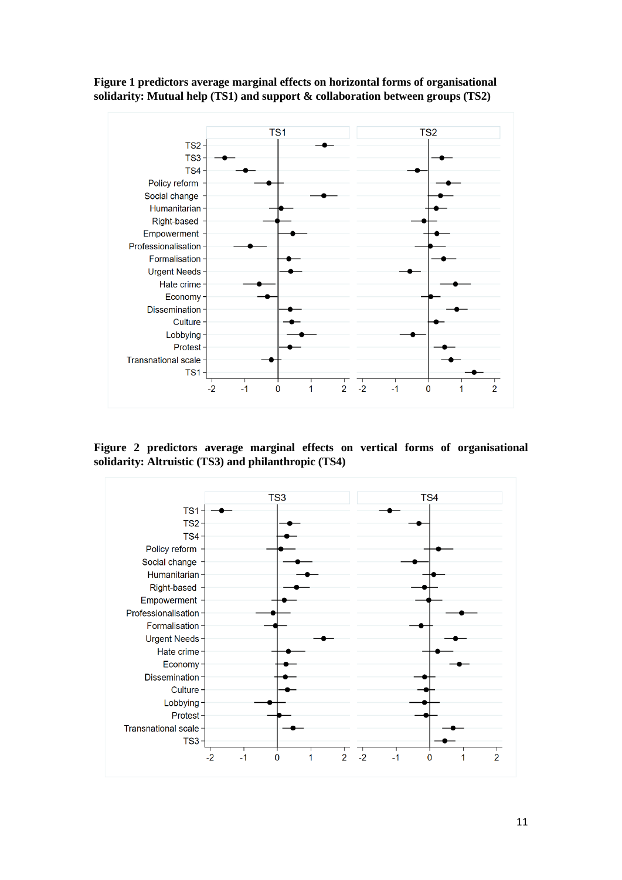

**Figure 1 predictors average marginal effects on horizontal forms of organisational solidarity: Mutual help (TS1) and support & collaboration between groups (TS2)**

**Figure 2 predictors average marginal effects on vertical forms of organisational solidarity: Altruistic (TS3) and philanthropic (TS4)**

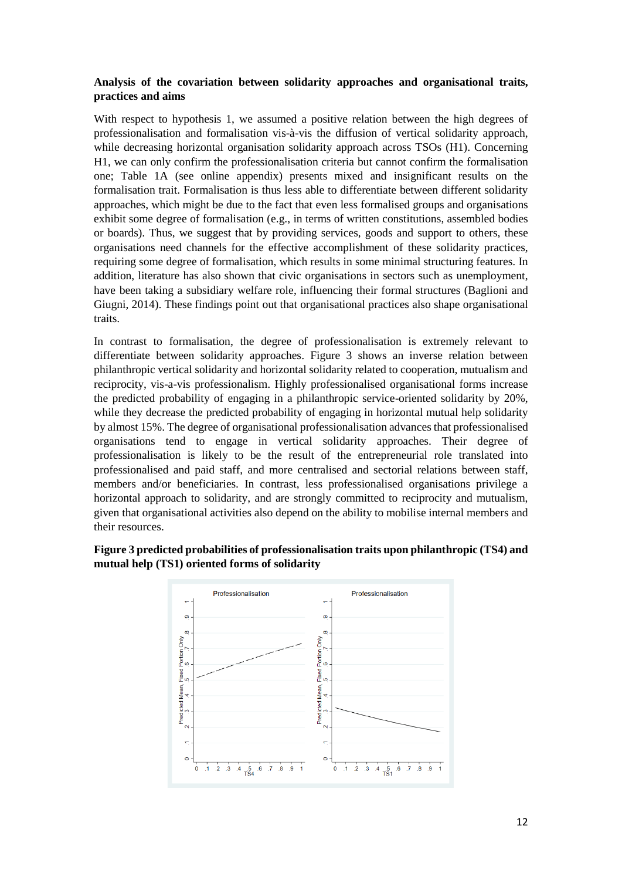## **Analysis of the covariation between solidarity approaches and organisational traits, practices and aims**

With respect to hypothesis 1, we assumed a positive relation between the high degrees of professionalisation and formalisation vis-à-vis the diffusion of vertical solidarity approach, while decreasing horizontal organisation solidarity approach across TSOs (H1). Concerning H1, we can only confirm the professionalisation criteria but cannot confirm the formalisation one; Table 1A (see online appendix) presents mixed and insignificant results on the formalisation trait. Formalisation is thus less able to differentiate between different solidarity approaches, which might be due to the fact that even less formalised groups and organisations exhibit some degree of formalisation (e.g., in terms of written constitutions, assembled bodies or boards). Thus, we suggest that by providing services, goods and support to others, these organisations need channels for the effective accomplishment of these solidarity practices, requiring some degree of formalisation, which results in some minimal structuring features. In addition, literature has also shown that civic organisations in sectors such as unemployment, have been taking a subsidiary welfare role, influencing their formal structures (Baglioni and Giugni, 2014). These findings point out that organisational practices also shape organisational traits.

In contrast to formalisation, the degree of professionalisation is extremely relevant to differentiate between solidarity approaches. Figure 3 shows an inverse relation between philanthropic vertical solidarity and horizontal solidarity related to cooperation, mutualism and reciprocity, vis-a-vis professionalism. Highly professionalised organisational forms increase the predicted probability of engaging in a philanthropic service-oriented solidarity by 20%, while they decrease the predicted probability of engaging in horizontal mutual help solidarity by almost 15%. The degree of organisational professionalisation advances that professionalised organisations tend to engage in vertical solidarity approaches. Their degree of professionalisation is likely to be the result of the entrepreneurial role translated into professionalised and paid staff, and more centralised and sectorial relations between staff, members and/or beneficiaries. In contrast, less professionalised organisations privilege a horizontal approach to solidarity, and are strongly committed to reciprocity and mutualism, given that organisational activities also depend on the ability to mobilise internal members and their resources.

## **Figure 3 predicted probabilities of professionalisation traits upon philanthropic (TS4) and mutual help (TS1) oriented forms of solidarity**

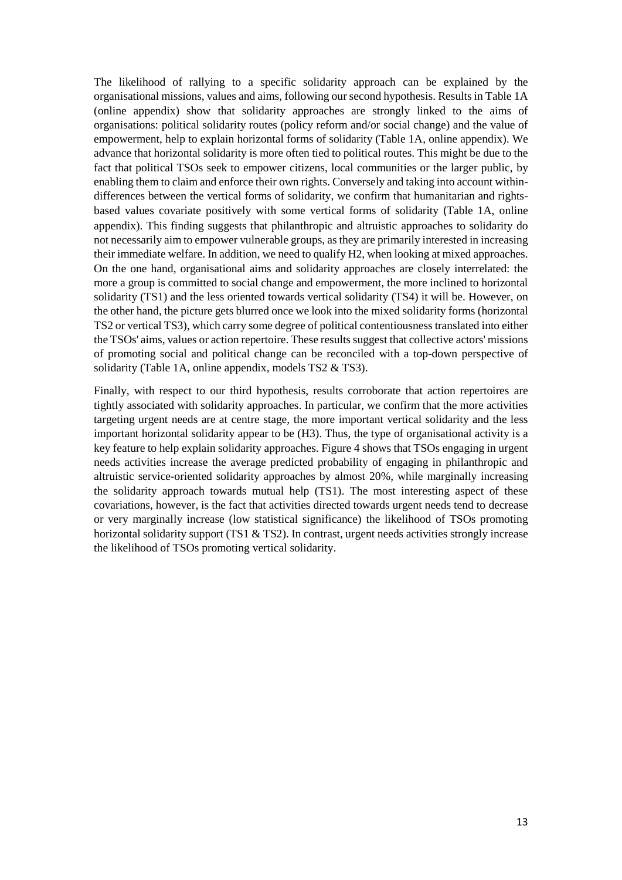The likelihood of rallying to a specific solidarity approach can be explained by the organisational missions, values and aims, following our second hypothesis. Results in Table 1A (online appendix) show that solidarity approaches are strongly linked to the aims of organisations: political solidarity routes (policy reform and/or social change) and the value of empowerment, help to explain horizontal forms of solidarity (Table 1A, online appendix). We advance that horizontal solidarity is more often tied to political routes. This might be due to the fact that political TSOs seek to empower citizens, local communities or the larger public, by enabling them to claim and enforce their own rights. Conversely and taking into account withindifferences between the vertical forms of solidarity, we confirm that humanitarian and rightsbased values covariate positively with some vertical forms of solidarity (Table 1A, online appendix). This finding suggests that philanthropic and altruistic approaches to solidarity do not necessarily aim to empower vulnerable groups, as they are primarily interested in increasing their immediate welfare. In addition, we need to qualify H2, when looking at mixed approaches. On the one hand, organisational aims and solidarity approaches are closely interrelated: the more a group is committed to social change and empowerment, the more inclined to horizontal solidarity (TS1) and the less oriented towards vertical solidarity (TS4) it will be. However, on the other hand, the picture gets blurred once we look into the mixed solidarity forms (horizontal TS2 or vertical TS3), which carry some degree of political contentiousness translated into either the TSOs' aims, values or action repertoire. These results suggest that collective actors' missions of promoting social and political change can be reconciled with a top-down perspective of solidarity (Table 1A, online appendix, models TS2 & TS3).

Finally, with respect to our third hypothesis, results corroborate that action repertoires are tightly associated with solidarity approaches. In particular, we confirm that the more activities targeting urgent needs are at centre stage, the more important vertical solidarity and the less important horizontal solidarity appear to be (H3). Thus, the type of organisational activity is a key feature to help explain solidarity approaches. Figure 4 shows that TSOs engaging in urgent needs activities increase the average predicted probability of engaging in philanthropic and altruistic service-oriented solidarity approaches by almost 20%, while marginally increasing the solidarity approach towards mutual help (TS1). The most interesting aspect of these covariations, however, is the fact that activities directed towards urgent needs tend to decrease or very marginally increase (low statistical significance) the likelihood of TSOs promoting horizontal solidarity support (TS1 & TS2). In contrast, urgent needs activities strongly increase the likelihood of TSOs promoting vertical solidarity.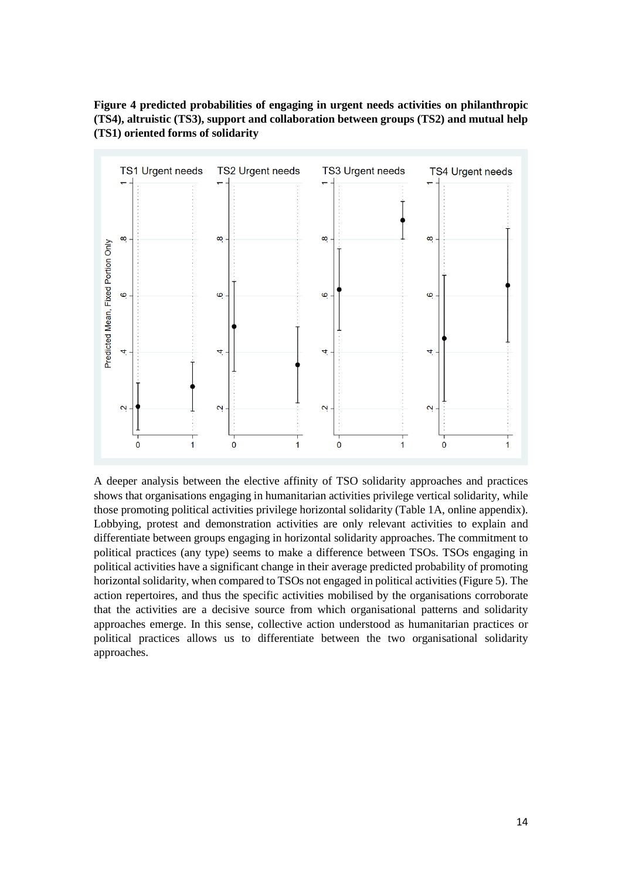



A deeper analysis between the elective affinity of TSO solidarity approaches and practices shows that organisations engaging in humanitarian activities privilege vertical solidarity, while those promoting political activities privilege horizontal solidarity (Table 1A, online appendix). Lobbying, protest and demonstration activities are only relevant activities to explain and differentiate between groups engaging in horizontal solidarity approaches. The commitment to political practices (any type) seems to make a difference between TSOs. TSOs engaging in political activities have a significant change in their average predicted probability of promoting horizontal solidarity, when compared to TSOs not engaged in political activities (Figure 5). The action repertoires, and thus the specific activities mobilised by the organisations corroborate that the activities are a decisive source from which organisational patterns and solidarity approaches emerge. In this sense, collective action understood as humanitarian practices or political practices allows us to differentiate between the two organisational solidarity approaches.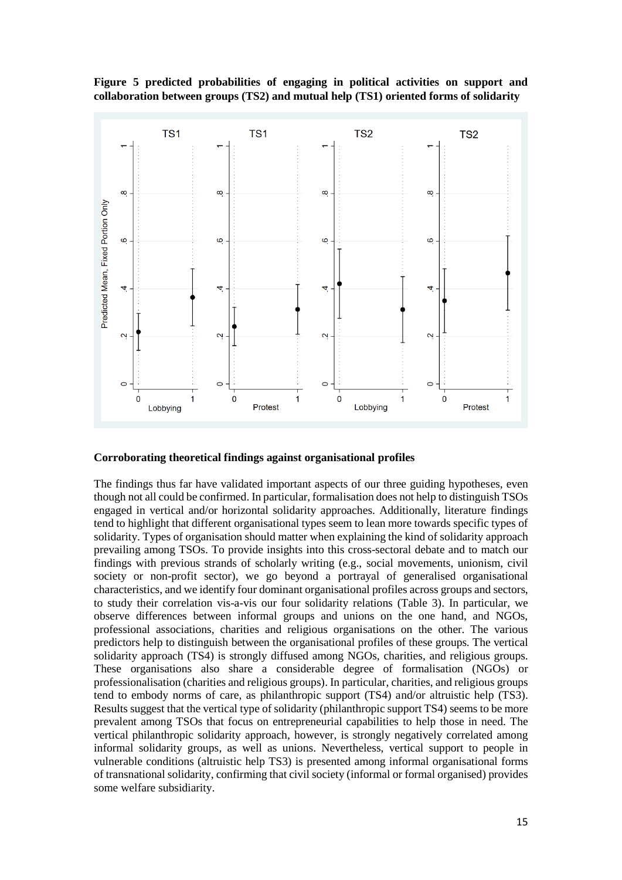**Figure 5 predicted probabilities of engaging in political activities on support and collaboration between groups (TS2) and mutual help (TS1) oriented forms of solidarity**



#### **Corroborating theoretical findings against organisational profiles**

The findings thus far have validated important aspects of our three guiding hypotheses, even though not all could be confirmed. In particular, formalisation does not help to distinguish TSOs engaged in vertical and/or horizontal solidarity approaches. Additionally, literature findings tend to highlight that different organisational types seem to lean more towards specific types of solidarity. Types of organisation should matter when explaining the kind of solidarity approach prevailing among TSOs. To provide insights into this cross-sectoral debate and to match our findings with previous strands of scholarly writing (e.g., social movements, unionism, civil society or non-profit sector), we go beyond a portrayal of generalised organisational characteristics, and we identify four dominant organisational profiles across groups and sectors, to study their correlation vis-a-vis our four solidarity relations (Table 3). In particular, we observe differences between informal groups and unions on the one hand, and NGOs, professional associations, charities and religious organisations on the other. The various predictors help to distinguish between the organisational profiles of these groups. The vertical solidarity approach (TS4) is strongly diffused among NGOs, charities, and religious groups. These organisations also share a considerable degree of formalisation (NGOs) or professionalisation (charities and religious groups). In particular, charities, and religious groups tend to embody norms of care, as philanthropic support (TS4) and/or altruistic help (TS3). Results suggest that the vertical type of solidarity (philanthropic support TS4) seems to be more prevalent among TSOs that focus on entrepreneurial capabilities to help those in need. The vertical philanthropic solidarity approach, however, is strongly negatively correlated among informal solidarity groups, as well as unions. Nevertheless, vertical support to people in vulnerable conditions (altruistic help TS3) is presented among informal organisational forms of transnational solidarity, confirming that civil society (informal or formal organised) provides some welfare subsidiarity.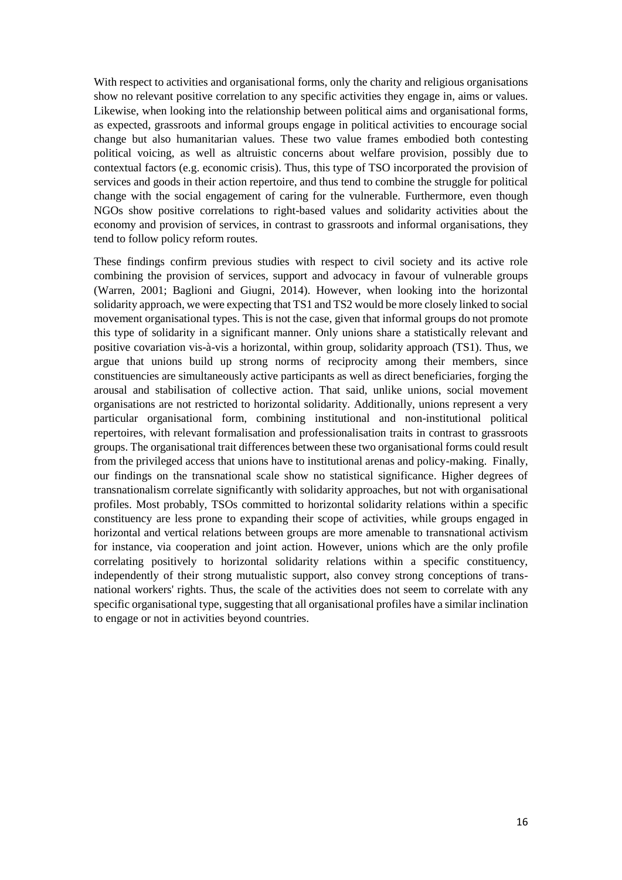With respect to activities and organisational forms, only the charity and religious organisations show no relevant positive correlation to any specific activities they engage in, aims or values. Likewise, when looking into the relationship between political aims and organisational forms, as expected, grassroots and informal groups engage in political activities to encourage social change but also humanitarian values. These two value frames embodied both contesting political voicing, as well as altruistic concerns about welfare provision, possibly due to contextual factors (e.g. economic crisis). Thus, this type of TSO incorporated the provision of services and goods in their action repertoire, and thus tend to combine the struggle for political change with the social engagement of caring for the vulnerable. Furthermore, even though NGOs show positive correlations to right-based values and solidarity activities about the economy and provision of services, in contrast to grassroots and informal organisations, they tend to follow policy reform routes.

These findings confirm previous studies with respect to civil society and its active role combining the provision of services, support and advocacy in favour of vulnerable groups (Warren, 2001; Baglioni and Giugni, 2014). However, when looking into the horizontal solidarity approach, we were expecting that TS1 and TS2 would be more closely linked to social movement organisational types. This is not the case, given that informal groups do not promote this type of solidarity in a significant manner. Only unions share a statistically relevant and positive covariation vis-à-vis a horizontal, within group, solidarity approach (TS1). Thus, we argue that unions build up strong norms of reciprocity among their members, since constituencies are simultaneously active participants as well as direct beneficiaries, forging the arousal and stabilisation of collective action. That said, unlike unions, social movement organisations are not restricted to horizontal solidarity. Additionally, unions represent a very particular organisational form, combining institutional and non-institutional political repertoires, with relevant formalisation and professionalisation traits in contrast to grassroots groups. The organisational trait differences between these two organisational forms could result from the privileged access that unions have to institutional arenas and policy-making. Finally, our findings on the transnational scale show no statistical significance. Higher degrees of transnationalism correlate significantly with solidarity approaches, but not with organisational profiles. Most probably, TSOs committed to horizontal solidarity relations within a specific constituency are less prone to expanding their scope of activities, while groups engaged in horizontal and vertical relations between groups are more amenable to transnational activism for instance, via cooperation and joint action. However, unions which are the only profile correlating positively to horizontal solidarity relations within a specific constituency, independently of their strong mutualistic support, also convey strong conceptions of transnational workers' rights. Thus, the scale of the activities does not seem to correlate with any specific organisational type, suggesting that all organisational profiles have a similar inclination to engage or not in activities beyond countries.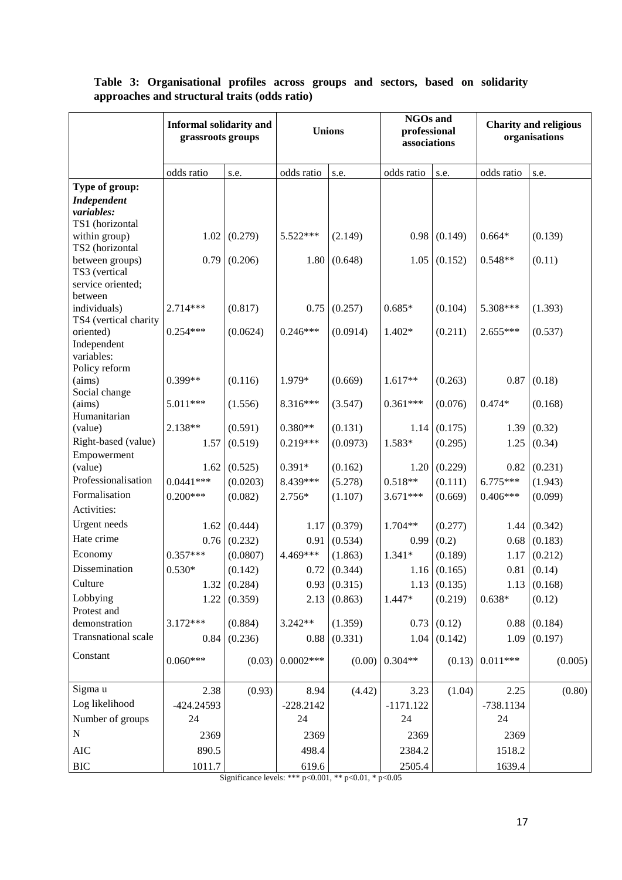|                                                                          | <b>Informal solidarity and</b><br>grassroots groups |          | <b>Unions</b>     |                | <b>NGOs</b> and<br>professional<br>associations |         | <b>Charity and religious</b><br>organisations |                |
|--------------------------------------------------------------------------|-----------------------------------------------------|----------|-------------------|----------------|-------------------------------------------------|---------|-----------------------------------------------|----------------|
|                                                                          | odds ratio                                          | s.e.     | odds ratio        | s.e.           | odds ratio                                      | s.e.    | odds ratio                                    | s.e.           |
| Type of group:<br><b>Independent</b><br>variables:<br>TS1 (horizontal    |                                                     |          |                   |                |                                                 |         |                                               |                |
| within group)                                                            | 1.02                                                | (0.279)  | 5.522***          | (2.149)        | 0.98                                            | (0.149) | $0.664*$                                      | (0.139)        |
| TS2 (horizontal<br>between groups)<br>TS3 (vertical<br>service oriented; | 0.79                                                | (0.206)  | 1.80              | (0.648)        | 1.05                                            | (0.152) | $0.548**$                                     | (0.11)         |
| between<br>individuals)<br>TS4 (vertical charity                         | 2.714***                                            | (0.817)  | 0.75              | (0.257)        | $0.685*$                                        | (0.104) | 5.308***                                      | (1.393)        |
| oriented)<br>Independent<br>variables:<br>Policy reform                  | $0.254***$                                          | (0.0624) | $0.246***$        | (0.0914)       | 1.402*                                          | (0.211) | $2.655***$                                    | (0.537)        |
| (aims)<br>Social change                                                  | $0.399**$                                           | (0.116)  | 1.979*            | (0.669)        | 1.617**                                         | (0.263) | 0.87                                          | (0.18)         |
| ( aims)<br>Humanitarian                                                  | 5.011***                                            | (1.556)  | 8.316***          | (3.547)        | $0.361***$                                      | (0.076) | $0.474*$                                      | (0.168)        |
| (value)                                                                  | 2.138**                                             | (0.591)  | $0.380**$         | (0.131)        | 1.14                                            | (0.175) | 1.39                                          | (0.32)         |
| Right-based (value)<br>Empowerment                                       | 1.57                                                | (0.519)  | $0.219***$        | (0.0973)       | 1.583*                                          | (0.295) | 1.25                                          | (0.34)         |
| (value)                                                                  | 1.62                                                | (0.525)  | $0.391*$          | (0.162)        | 1.20                                            | (0.229) | 0.82                                          | (0.231)        |
| Professionalisation                                                      | $0.0441***$                                         | (0.0203) | 8.439***          | (5.278)        | $0.518**$                                       | (0.111) | $6.775***$                                    | (1.943)        |
| Formalisation                                                            | $0.200***$                                          | (0.082)  | 2.756*            | (1.107)        | $3.671***$                                      | (0.669) | $0.406***$                                    | (0.099)        |
| Activities:                                                              |                                                     |          |                   |                |                                                 |         |                                               |                |
| <b>Urgent</b> needs                                                      | 1.62                                                | (0.444)  | 1.17              | (0.379)        | 1.704**                                         | (0.277) | 1.44                                          | (0.342)        |
| Hate crime                                                               | 0.76                                                | (0.232)  | 0.91              | (0.534)        | 0.99                                            | (0.2)   | 0.68                                          | (0.183)        |
| Economy                                                                  | $0.357***$                                          | (0.0807) | 4.469***          | (1.863)        | 1.341*                                          | (0.189) | 1.17                                          | (0.212)        |
| Dissemination                                                            | $0.530*$                                            | (0.142)  | 0.72              | (0.344)        | 1.16                                            | (0.165) | 0.81                                          | (0.14)         |
| Culture                                                                  | 1.32                                                | (0.284)  |                   | 0.93   (0.315) | 1.13                                            | (0.135) |                                               | 1.13   (0.168) |
| Lobbying<br>Protest and                                                  | 1.22                                                | (0.359)  | 2.13              | (0.863)        | 1.447*                                          | (0.219) | $0.638*$                                      | (0.12)         |
| demonstration                                                            | 3.172***                                            | (0.884)  | $3.242**$         | (1.359)        | 0.73                                            | (0.12)  | 0.88                                          | (0.184)        |
| Transnational scale                                                      | 0.84                                                | (0.236)  | 0.88              | (0.331)        | 1.04                                            | (0.142) | 1.09                                          | (0.197)        |
| Constant                                                                 | $0.060***$                                          | (0.03)   | $0.0002***$       | (0.00)         | $0.304**$                                       | (0.13)  | $0.011***$                                    | (0.005)        |
| Sigma u                                                                  | 2.38                                                | (0.93)   | 8.94              | (4.42)         | 3.23                                            | (1.04)  | 2.25                                          | (0.80)         |
| Log likelihood<br>Number of groups                                       | -424.24593<br>24                                    |          | $-228.2142$<br>24 |                | $-1171.122$<br>24                               |         | $-738.1134$<br>24                             |                |
| ${\bf N}$                                                                | 2369                                                |          | 2369              |                | 2369                                            |         | 2369                                          |                |
| <b>AIC</b>                                                               | 890.5                                               |          | 498.4             |                | 2384.2                                          |         | 1518.2                                        |                |
| <b>BIC</b>                                                               | 1011.7                                              |          | 619.6             |                | 2505.4                                          |         | 1639.4                                        |                |

## **Table 3: Organisational profiles across groups and sectors, based on solidarity approaches and structural traits (odds ratio)**

Significance levels: \*\*\* p<0.001, \*\* p<0.01, \* p<0.05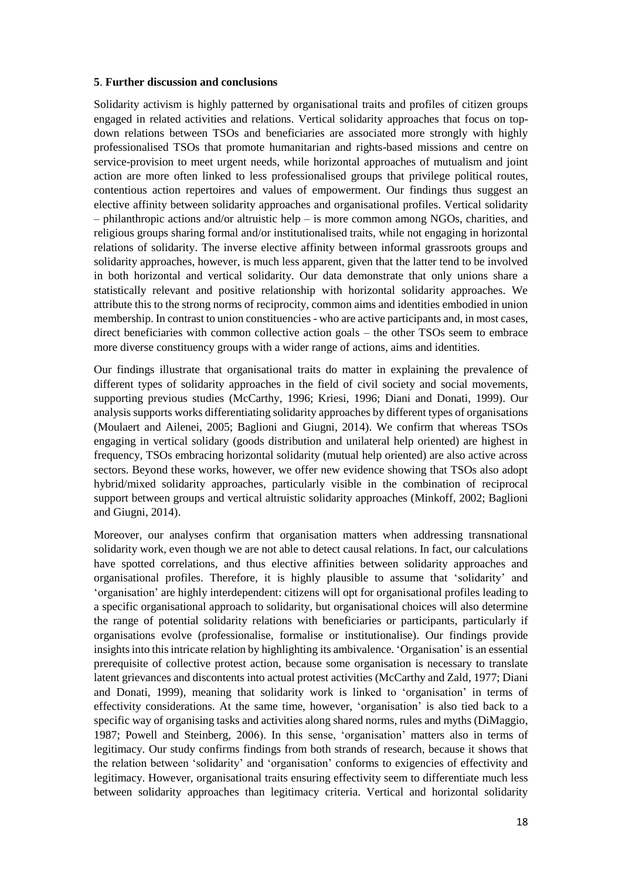#### **5**. **Further discussion and conclusions**

Solidarity activism is highly patterned by organisational traits and profiles of citizen groups engaged in related activities and relations. Vertical solidarity approaches that focus on topdown relations between TSOs and beneficiaries are associated more strongly with highly professionalised TSOs that promote humanitarian and rights-based missions and centre on service-provision to meet urgent needs, while horizontal approaches of mutualism and joint action are more often linked to less professionalised groups that privilege political routes, contentious action repertoires and values of empowerment. Our findings thus suggest an elective affinity between solidarity approaches and organisational profiles. Vertical solidarity – philanthropic actions and/or altruistic help – is more common among NGOs, charities, and religious groups sharing formal and/or institutionalised traits, while not engaging in horizontal relations of solidarity. The inverse elective affinity between informal grassroots groups and solidarity approaches, however, is much less apparent, given that the latter tend to be involved in both horizontal and vertical solidarity. Our data demonstrate that only unions share a statistically relevant and positive relationship with horizontal solidarity approaches. We attribute this to the strong norms of reciprocity, common aims and identities embodied in union membership. In contrast to union constituencies - who are active participants and, in most cases, direct beneficiaries with common collective action goals – the other TSOs seem to embrace more diverse constituency groups with a wider range of actions, aims and identities.

Our findings illustrate that organisational traits do matter in explaining the prevalence of different types of solidarity approaches in the field of civil society and social movements, supporting previous studies (McCarthy, 1996; Kriesi, 1996; Diani and Donati, 1999). Our analysis supports works differentiating solidarity approaches by different types of organisations (Moulaert and Ailenei, 2005; Baglioni and Giugni, 2014). We confirm that whereas TSOs engaging in vertical solidary (goods distribution and unilateral help oriented) are highest in frequency, TSOs embracing horizontal solidarity (mutual help oriented) are also active across sectors. Beyond these works, however, we offer new evidence showing that TSOs also adopt hybrid/mixed solidarity approaches, particularly visible in the combination of reciprocal support between groups and vertical altruistic solidarity approaches (Minkoff, 2002; Baglioni and Giugni, 2014).

Moreover, our analyses confirm that organisation matters when addressing transnational solidarity work, even though we are not able to detect causal relations. In fact, our calculations have spotted correlations, and thus elective affinities between solidarity approaches and organisational profiles. Therefore, it is highly plausible to assume that 'solidarity' and 'organisation' are highly interdependent: citizens will opt for organisational profiles leading to a specific organisational approach to solidarity, but organisational choices will also determine the range of potential solidarity relations with beneficiaries or participants, particularly if organisations evolve (professionalise, formalise or institutionalise). Our findings provide insights into this intricate relation by highlighting its ambivalence. 'Organisation' is an essential prerequisite of collective protest action, because some organisation is necessary to translate latent grievances and discontents into actual protest activities (McCarthy and Zald, 1977; Diani and Donati, 1999), meaning that solidarity work is linked to 'organisation' in terms of effectivity considerations. At the same time, however, 'organisation' is also tied back to a specific way of organising tasks and activities along shared norms, rules and myths (DiMaggio, 1987; Powell and Steinberg, 2006). In this sense, 'organisation' matters also in terms of legitimacy. Our study confirms findings from both strands of research, because it shows that the relation between 'solidarity' and 'organisation' conforms to exigencies of effectivity and legitimacy. However, organisational traits ensuring effectivity seem to differentiate much less between solidarity approaches than legitimacy criteria. Vertical and horizontal solidarity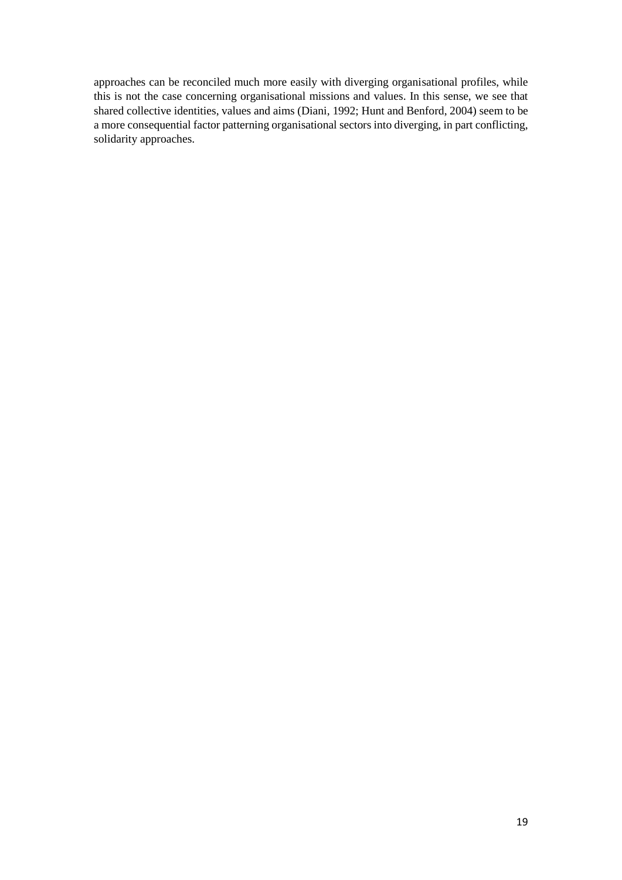approaches can be reconciled much more easily with diverging organisational profiles, while this is not the case concerning organisational missions and values. In this sense, we see that shared collective identities, values and aims (Diani, 1992; Hunt and Benford, 2004) seem to be a more consequential factor patterning organisational sectors into diverging, in part conflicting, solidarity approaches.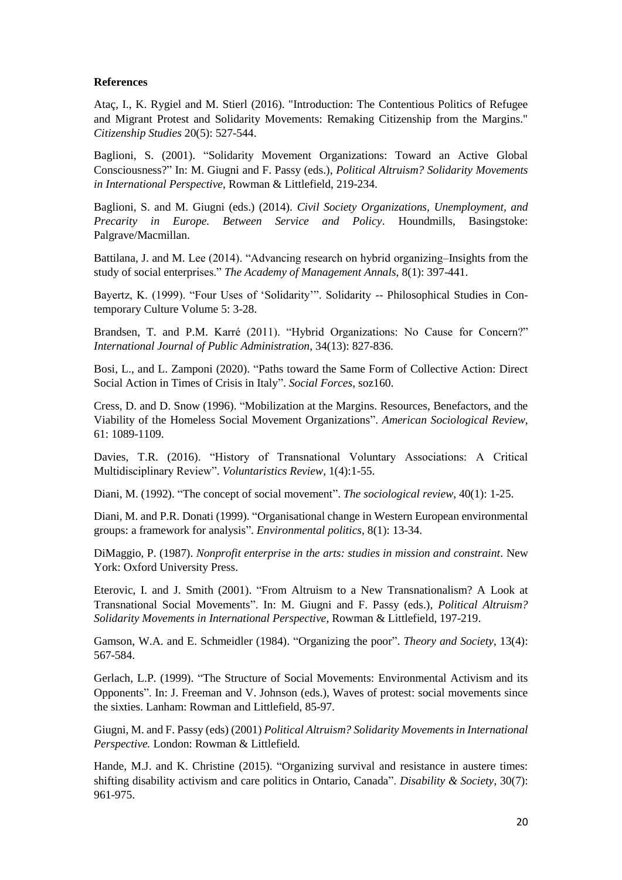#### **References**

Ataç, I., K. Rygiel and M. Stierl (2016). "Introduction: The Contentious Politics of Refugee and Migrant Protest and Solidarity Movements: Remaking Citizenship from the Margins." *Citizenship Studies* 20(5): 527-544.

Baglioni, S. (2001). "Solidarity Movement Organizations: Toward an Active Global Consciousness?" In: M. Giugni and F. Passy (eds.), *Political Altruism? Solidarity Movements in International Perspective*, Rowman & Littlefield, 219-234.

Baglioni, S. and M. Giugni (eds.) (2014). *Civil Society Organizations, Unemployment, and Precarity in Europe. Between Service and Policy*. Houndmills, Basingstoke: Palgrave/Macmillan.

Battilana, J. and M. Lee (2014). "Advancing research on hybrid organizing–Insights from the study of social enterprises." *The Academy of Management Annals*, 8(1): 397-441.

Bayertz, K. (1999). "Four Uses of 'Solidarity'". Solidarity -- Philosophical Studies in Contemporary Culture Volume 5: 3-28.

Brandsen, T. and P.M. Karré (2011). "Hybrid Organizations: No Cause for Concern?" *International Journal of Public Administration*, 34(13): 827-836.

Bosi, L., and L. Zamponi (2020). "Paths toward the Same Form of Collective Action: Direct Social Action in Times of Crisis in Italy". *Social Forces*, soz160.

Cress, D. and D. Snow (1996). "Mobilization at the Margins. Resources, Benefactors, and the Viability of the Homeless Social Movement Organizations". *American Sociological Review*, 61: 1089-1109.

Davies, T.R. (2016). "History of Transnational Voluntary Associations: A Critical Multidisciplinary Review". *Voluntaristics Review*, 1(4):1-55.

Diani, M. (1992). "The concept of social movement". *The sociological review*, 40(1): 1-25.

Diani, M. and P.R. Donati (1999). "Organisational change in Western European environmental groups: a framework for analysis". *Environmental politics*, 8(1): 13-34.

DiMaggio, P. (1987). *Nonprofit enterprise in the arts: studies in mission and constraint.* New York: Oxford University Press.

Eterovic, I. and J. Smith (2001). "From Altruism to a New Transnationalism? A Look at Transnational Social Movements". In: M. Giugni and F. Passy (eds.), *Political Altruism? Solidarity Movements in International Perspective*, Rowman & Littlefield, 197-219.

Gamson, W.A. and E. Schmeidler (1984). "Organizing the poor". *Theory and Society*, 13(4): 567-584.

Gerlach, L.P. (1999). "The Structure of Social Movements: Environmental Activism and its Opponents". In: J. Freeman and V. Johnson (eds.), Waves of protest: social movements since the sixties. Lanham: Rowman and Littlefield, 85-97.

Giugni, M. and F. Passy (eds) (2001) *Political Altruism? Solidarity Movements in International Perspective.* London: Rowman & Littlefield.

Hande, M.J. and K. Christine (2015). "Organizing survival and resistance in austere times: shifting disability activism and care politics in Ontario, Canada". *Disability & Society*, 30(7): 961-975.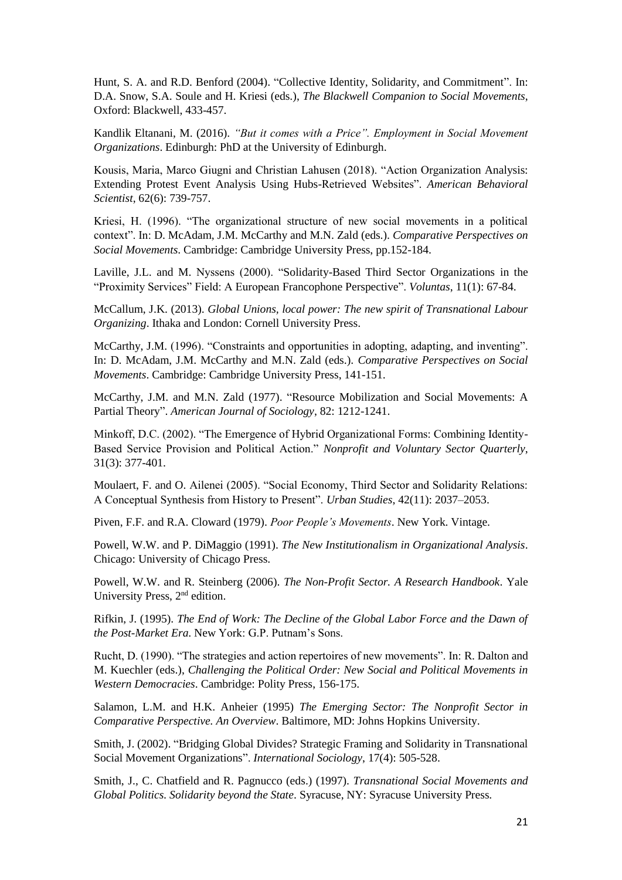Hunt, S. A. and R.D. Benford (2004). "Collective Identity, Solidarity, and Commitment". In: D.A. Snow, S.A. Soule and H. Kriesi (eds.), *The Blackwell Companion to Social Movements*, Oxford: Blackwell, 433-457.

Kandlik Eltanani, M. (2016). *"But it comes with a Price". Employment in Social Movement Organizations*. Edinburgh: PhD at the University of Edinburgh.

Kousis, Maria, Marco Giugni and Christian Lahusen (2018). "Action Organization Analysis: Extending Protest Event Analysis Using Hubs-Retrieved Websites". *American Behavioral Scientist*, 62(6): 739-757.

Kriesi, H. (1996). "The organizational structure of new social movements in a political context". In: D. McAdam, J.M. McCarthy and M.N. Zald (eds.). *Comparative Perspectives on Social Movements*. Cambridge: Cambridge University Press, pp.152-184.

Laville, J.L. and M. Nyssens (2000). "Solidarity-Based Third Sector Organizations in the "Proximity Services" Field: A European Francophone Perspective". *Voluntas*, 11(1): 67-84.

McCallum, J.K. (2013). *Global Unions, local power: The new spirit of Transnational Labour Organizing*. Ithaka and London: Cornell University Press.

McCarthy, J.M. (1996). "Constraints and opportunities in adopting, adapting, and inventing". In: D. McAdam, J.M. McCarthy and M.N. Zald (eds.). *Comparative Perspectives on Social Movements*. Cambridge: Cambridge University Press, 141-151.

McCarthy, J.M. and M.N. Zald (1977). "Resource Mobilization and Social Movements: A Partial Theory". *American Journal of Sociology*, 82: 1212-1241.

Minkoff, D.C. (2002). "The Emergence of Hybrid Organizational Forms: Combining Identity-Based Service Provision and Political Action." *Nonprofit and Voluntary Sector Quarterly*, 31(3): 377-401.

Moulaert, F. and O. Ailenei (2005). "Social Economy, Third Sector and Solidarity Relations: A Conceptual Synthesis from History to Present". *Urban Studies*, 42(11): 2037–2053.

Piven, F.F. and R.A. Cloward (1979). *Poor People's Movements*. New York. Vintage.

Powell, W.W. and P. DiMaggio (1991). *The New Institutionalism in Organizational Analysis*. Chicago: University of Chicago Press.

Powell, W.W. and R. Steinberg (2006). *The Non-Profit Sector. A Research Handbook*. Yale University Press, 2<sup>nd</sup> edition.

Rifkin, J. (1995). *The End of Work: The Decline of the Global Labor Force and the Dawn of the Post-Market Era*. New York: G.P. Putnam's Sons.

Rucht, D. (1990). "The strategies and action repertoires of new movements". In: R. Dalton and M. Kuechler (eds.), *Challenging the Political Order: New Social and Political Movements in Western Democracies*. Cambridge: Polity Press, 156-175.

Salamon, L.M. and H.K. Anheier (1995) *The Emerging Sector: The Nonprofit Sector in Comparative Perspective. An Overview*. Baltimore, MD: Johns Hopkins University.

Smith, J. (2002). "Bridging Global Divides? Strategic Framing and Solidarity in Transnational Social Movement Organizations". *International Sociology*, 17(4): 505-528.

Smith, J., C. Chatfield and R. Pagnucco (eds.) (1997). *Transnational Social Movements and Global Politics. Solidarity beyond the State*. Syracuse, NY: Syracuse University Press.